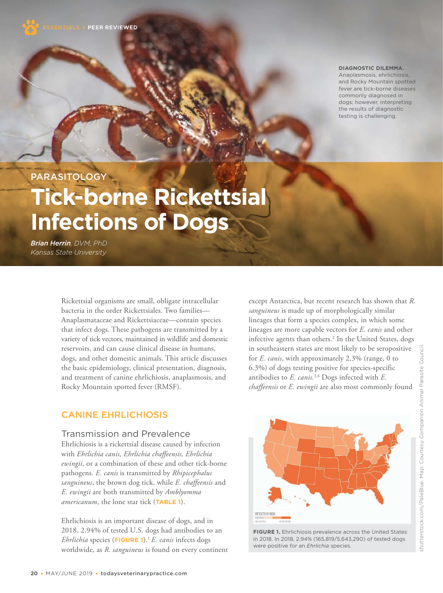

**DIAGNOSTIC DILEMMA.**

Anaplasmosis, ehrlichiosis, and Rocky Mountain spotted fever are tick-borne diseases commonly diagnosed in dogs; however, interpreting the results of diagnostic testing is challenging.

**PARASITOLOGY** 

# **Tick-borne Rickettsial Infections of Dogs**

*Brian Herrin, DVM, PhD Kansas State University*

> Rickettsial organisms are small, obligate intracellular bacteria in the order Rickettsiales. Two families— Anaplasmataceae and Rickettsiaceae—contain species that infect dogs. These pathogens are transmitted by a variety of tick vectors, maintained in wildlife and domestic reservoirs, and can cause clinical disease in humans, dogs, and other domestic animals. This article discusses the basic epidemiology, clinical presentation, diagnosis, and treatment of canine ehrlichiosis, anaplasmosis, and Rocky Mountain spotted fever (RMSF).

except Antarctica, but recent research has shown that *R. sanguineus* is made up of morphologically similar lineages that form a species complex, in which some lineages are more capable vectors for *E. canis* and other infective agents than others.<sup>2</sup> In the United States, dogs in southeastern states are most likely to be seropositive for *E. canis*, with approximately 2.3% (range, 0 to 6.3%) of dogs testing positive for species-specific antibodies to *E. canis.*3,4 Dogs infected with *E. chaffeensis* or *E. ewingii* are also most commonly found

# CANINE EHRLICHIOSIS

#### Transmission and Prevalence

Ehrlichiosis is a rickettsial disease caused by infection with *Ehrlichia canis, Ehrlichia chaffeensis, Ehrlichia ewingii,* or a combination of these and other tick-borne pathogens. *E. canis* is transmitted by *Rhipicephalus sanguineus*, the brown dog tick, while *E. chaffeensis* and *E. ewingii* are both transmitted by *Amblyomma americanum*, the lone star tick (**TABLE 1**).

Ehrlichiosis is an important disease of dogs, and in 2018, 2.94% of tested U.S. dogs had antibodies to an *Ehrlichia* species (**FIGURE 1**).<sup>1</sup>*E. canis* infects dogs worldwide, as *R. sanguineus* is found on every continent



**FIGURE 1.** Ehrlichiosis prevalence across the United States in 2018. In 2018, 2.94% (165,819/5,643,290) of tested dogs were positive for an *Ehrlichia* species.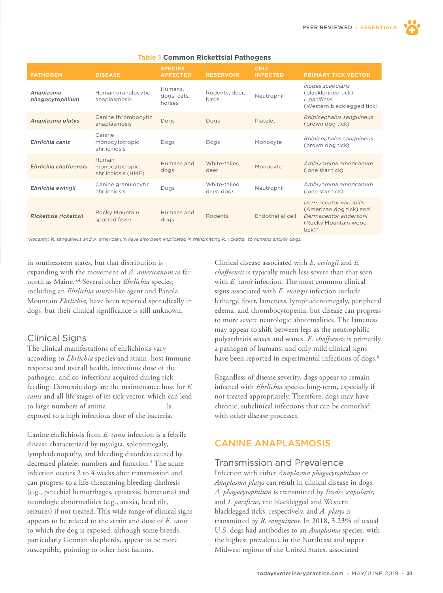

#### **Table 1 Common Rickettsial Pathogens**

*\*Recently,* R. sanguineus *and* A. americanum *have also been implicated in transmitting* R. rickettsii *to humans and/or dogs.* 

in southeastern states, but that distribution is expanding with the movement of *A. americanum* as far north as Maine.3,4 Several other *Ehrlichia* species, including an *Ehrlichia muris*-like agent and Panola Mountain *Ehrlichia,* have been reported sporadically in dogs, but their clinical significance is still unknown.

# Clinical Signs

The clinical manifestations of ehrlichiosis vary according to *Ehrlichia* species and strain, host immune response and overall health, infectious dose of the pathogen, and co-infections acquired during tick feeding. Domestic dogs are the maintenance host for *E. canis* and all life stages of its tick vector, which can lead to large numbers of animal exposed to a high infectious dose of the bacteria.

Canine ehrlichiosis from *E. canis* infection is a febrile disease characterized by myalgia, splenomegaly, lymphadenopathy, and bleeding disorders caused by decreased platelet numbers and function.<sup>5</sup> The acute infection occurs 2 to 4 weeks after transmission and can progress to a life-threatening bleeding diathesis (e.g., petechial hemorrhages, epistaxis, hematuria) and neurologic abnormalities (e.g., ataxia, head tilt, seizures) if not treated. This wide range of clinical signs appears to be related to the strain and dose of *E. canis*  to which the dog is exposed, although some breeds, particularly German shepherds, appear to be more susceptible, pointing to other host factors.

Clinical disease associated with *E. ewingii* and *E. chaffeensis* is typically much less severe than that seen with *E. canis* infection. The most common clinical signs associated with *E. ewingii* infection include lethargy, fever, lameness, lymphadenomegaly, peripheral edema, and thrombocytopenia, but disease can progress to more severe neurologic abnormalities. The lameness may appear to shift between legs as the neutrophilic polyarthritis waxes and wanes. *E. chaffeensis* is primarily a pathogen of humans, and only mild clinical signs have been reported in experimental infections of dogs.<sup>6</sup>

Regardless of disease severity, dogs appear to remain infected with *Ehrlichia* species long-term, especially if not treated appropriately. Therefore, dogs may have chronic, subclinical infections that can be comorbid with other disease processes.

# CANINE ANAPLASMOSIS

#### Transmission and Prevalence

Infection with either *Anaplasma phagocytophilum* or *Anaplasma platys* can result in clinical disease in dogs. *A. phagocytophilum* is transmitted by *Ixodes scapularis*, and *I. pacificus*, the blacklegged and Western blacklegged ticks, respectively, and *A. platys* is transmitted by *R. sanguineus.* In 2018, 3.23% of tested U.S. dogs had antibodies to an *Anaplasma* species, with the highest prevalence in the Northeast and upper Midwest regions of the United States, associated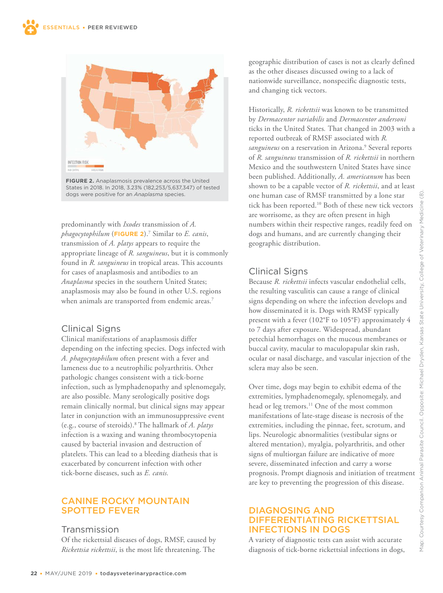

**FIGURE 2.** Anaplasmosis prevalence across the United States in 2018. In 2018, 3.23% (182,253/5,637,347) of tested dogs were positive for an *Anaplasma* species.

predominantly with *Ixodes* transmission of *A. phagocytophilum* (**FIGURE 2**).<sup>7</sup> Similar to *E. canis*, transmission of *A. platys* appears to require the appropriate lineage of *R. sanguineus*, but it is commonly found in *R. sanguineus* in tropical areas. This accounts for cases of anaplasmosis and antibodies to an *Anaplasma* species in the southern United States; anaplasmosis may also be found in other U.S. regions when animals are transported from endemic areas.<sup>7</sup>

# Clinical Signs

Clinical manifestations of anaplasmosis differ depending on the infecting species. Dogs infected with *A. phagocytophilum* often present with a fever and lameness due to a neutrophilic polyarthritis. Other pathologic changes consistent with a tick-borne infection, such as lymphadenopathy and splenomegaly, are also possible. Many serologically positive dogs remain clinically normal, but clinical signs may appear later in conjunction with an immunosuppressive event (e.g., course of steroids).<sup>8</sup> The hallmark of *A. platys* infection is a waxing and waning thrombocytopenia caused by bacterial invasion and destruction of platelets. This can lead to a bleeding diathesis that is exacerbated by concurrent infection with other tick-borne diseases, such as *E. canis.*

# CANINE ROCKY MOUNTAIN SPOTTED FEVER

# Transmission

Of the rickettsial diseases of dogs, RMSF, caused by *Rickettsia rickettsii*, is the most life threatening. The

geographic distribution of cases is not as clearly defined as the other diseases discussed owing to a lack of nationwide surveillance, nonspecific diagnostic tests, and changing tick vectors.

Historically, *R. rickettsii* was known to be transmitted by *Dermacentor variabilis* and *Dermacentor andersoni*  ticks in the United States*.* That changed in 2003 with a reported outbreak of RMSF associated with *R.*  sanguineus on a reservation in Arizona.<sup>9</sup> Several reports of *R. sanguineus* transmission of *R. rickettsii* in northern Mexico and the southwestern United States have since been published. Additionally, *A. americanum* has been shown to be a capable vector of *R. rickettsii*, and at least one human case of RMSF transmitted by a lone star tick has been reported.<sup>10</sup> Both of these new tick vectors are worrisome, as they are often present in high numbers within their respective ranges, readily feed on dogs and humans, and are currently changing their geographic distribution.

# Clinical Signs

Because *R. rickettsii* infects vascular endothelial cells, the resulting vasculitis can cause a range of clinical signs depending on where the infection develops and how disseminated it is. Dogs with RMSF typically present with a fever (102°F to 105°F) approximately 4 to 7 days after exposure. Widespread, abundant petechial hemorrhages on the mucous membranes or buccal cavity, macular to maculopapular skin rash, ocular or nasal discharge, and vascular injection of the sclera may also be seen.

Over time, dogs may begin to exhibit edema of the extremities, lymphadenomegaly, splenomegaly, and head or leg tremors.<sup>11</sup> One of the most common manifestations of late-stage disease is necrosis of the extremities, including the pinnae, feet, scrotum, and lips. Neurologic abnormalities (vestibular signs or altered mentation), myalgia, polyarthritis, and other signs of multiorgan failure are indicative of more severe, disseminated infection and carry a worse prognosis. Prompt diagnosis and initiation of treatment are key to preventing the progression of this disease.

# DIAGNOSING AND DIFFERENTIATING RICKETTSIAL INFECTIONS IN DOGS

A variety of diagnostic tests can assist with accurate diagnosis of tick-borne rickettsial infections in dogs,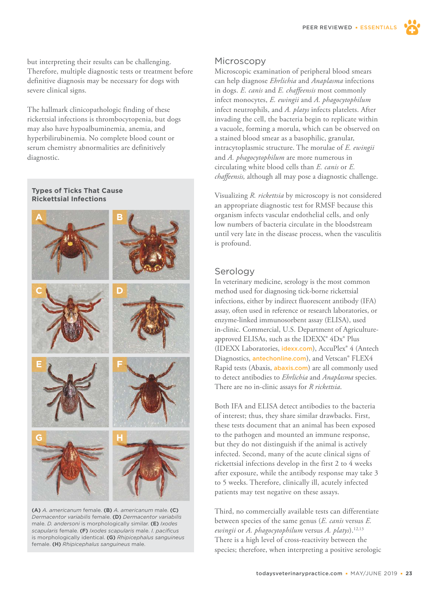PEER REVIEWEDESSENTIALS

but interpreting their results can be challenging. Therefore, multiple diagnostic tests or treatment before definitive diagnosis may be necessary for dogs with severe clinical signs.

The hallmark clinicopathologic finding of these rickettsial infections is thrombocytopenia, but dogs may also have hypoalbuminemia, anemia, and hyperbilirubinemia. No complete blood count or serum chemistry abnormalities are definitively diagnostic.

**Types of Ticks That Cause Rickettsial Infections**



**(A)** *A. americanum* female. **(B)** *A. americanum* male. **(C)** *Dermacentor variabilis* female. **(D)** *Dermacentor variabilis* male. *D. andersoni* is morphologically similar. **(E)** *Ixodes scapularis* female. **(F)** *Ixodes scapularis* male. *I. pacificus* is morphologically identical. **(G)** *Rhipicephalus sanguineus* female. **(H)** *Rhipicephalus sanguineus* male.

#### **Microscopy**

Microscopic examination of peripheral blood smears can help diagnose *Ehrlichia* and *Anaplasma* infections in dogs. *E. canis* and *E. chaffeensis* most commonly infect monocytes, *E. ewingii* and *A. phagocytophilum* infect neutrophils, and *A. platys* infects platelets. After invading the cell, the bacteria begin to replicate within a vacuole, forming a morula, which can be observed on a stained blood smear as a basophilic, granular, intracytoplasmic structure. The morulae of *E. ewingii* and *A. phagocytophilum* are more numerous in circulating white blood cells than *E. canis* or *E. chaffeensis,* although all may pose a diagnostic challenge.

Visualizing *R. rickettsia* by microscopy is not considered an appropriate diagnostic test for RMSF because this organism infects vascular endothelial cells, and only low numbers of bacteria circulate in the bloodstream until very late in the disease process, when the vasculitis is profound.

#### Serology

In veterinary medicine, serology is the most common method used for diagnosing tick-borne rickettsial infections, either by indirect fluorescent antibody (IFA) assay, often used in reference or research laboratories, or enzyme-linked immunosorbent assay (ELISA), used in-clinic. Commercial, U.S. Department of Agricultureapproved ELISAs, such as the IDEXX® 4Dx® Plus (IDEXX Laboratories, [idexx.com](http://idexx.com)), AccuPlex® 4 (Antech Diagnostics, **[antechonline.com](http://antechonline.com)**), and Vetscan® FLEX4 Rapid tests (Abaxis, [abaxis.com](https://www.abaxis.com/)) are all commonly used to detect antibodies to *Ehrlichia* and *Anaplasma* species. There are no in-clinic assays for *R rickettsia*.

Both IFA and ELISA detect antibodies to the bacteria of interest; thus, they share similar drawbacks. First, these tests document that an animal has been exposed to the pathogen and mounted an immune response, but they do not distinguish if the animal is actively infected. Second, many of the acute clinical signs of rickettsial infections develop in the first 2 to 4 weeks after exposure, while the antibody response may take 3 to 5 weeks. Therefore, clinically ill, acutely infected patients may test negative on these assays.

Third, no commercially available tests can differentiate between species of the same genus (*E. canis* versus *E. ewingii* or *A. phagocytophilum* versus *A. platys*).12,13 There is a high level of cross-reactivity between the species; therefore, when interpreting a positive serologic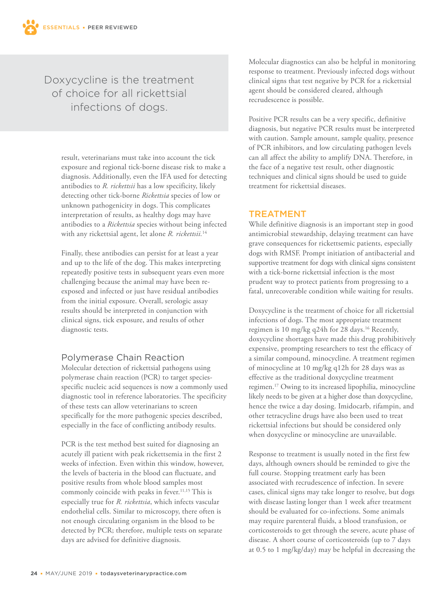# Doxycycline is the treatment of choice for all rickettsial infections of dogs.

result, veterinarians must take into account the tick exposure and regional tick-borne disease risk to make a diagnosis. Additionally, even the IFA used for detecting antibodies to *R. rickettsii* has a low specificity, likely detecting other tick-borne *Rickettsia* species of low or unknown pathogenicity in dogs. This complicates interpretation of results, as healthy dogs may have antibodies to a *Rickettsia* species without being infected with any rickettsial agent, let alone *R. rickettsii.*<sup>14</sup>

Finally, these antibodies can persist for at least a year and up to the life of the dog. This makes interpreting repeatedly positive tests in subsequent years even more challenging because the animal may have been reexposed and infected or just have residual antibodies from the initial exposure. Overall, serologic assay results should be interpreted in conjunction with clinical signs, tick exposure, and results of other diagnostic tests.

# Polymerase Chain Reaction

Molecular detection of rickettsial pathogens using polymerase chain reaction (PCR) to target speciesspecific nucleic acid sequences is now a commonly used diagnostic tool in reference laboratories. The specificity of these tests can allow veterinarians to screen specifically for the more pathogenic species described, especially in the face of conflicting antibody results.

PCR is the test method best suited for diagnosing an acutely ill patient with peak rickettsemia in the first 2 weeks of infection. Even within this window, however, the levels of bacteria in the blood can fluctuate, and positive results from whole blood samples most commonly coincide with peaks in fever.<sup>11,15</sup> This is especially true for *R. rickettsia*, which infects vascular endothelial cells. Similar to microscopy, there often is not enough circulating organism in the blood to be detected by PCR; therefore, multiple tests on separate days are advised for definitive diagnosis.

Molecular diagnostics can also be helpful in monitoring response to treatment. Previously infected dogs without clinical signs that test negative by PCR for a rickettsial agent should be considered cleared, although recrudescence is possible.

Positive PCR results can be a very specific, definitive diagnosis, but negative PCR results must be interpreted with caution. Sample amount, sample quality, presence of PCR inhibitors, and low circulating pathogen levels can all affect the ability to amplify DNA. Therefore, in the face of a negative test result, other diagnostic techniques and clinical signs should be used to guide treatment for rickettsial diseases.

#### TREATMENT

While definitive diagnosis is an important step in good antimicrobial stewardship, delaying treatment can have grave consequences for rickettsemic patients, especially dogs with RMSF. Prompt initiation of antibacterial and supportive treatment for dogs with clinical signs consistent with a tick-borne rickettsial infection is the most prudent way to protect patients from progressing to a fatal, unrecoverable condition while waiting for results.

Doxycycline is the treatment of choice for all rickettsial infections of dogs. The most appropriate treatment regimen is 10 mg/kg q24h for 28 days.<sup>16</sup> Recently, doxycycline shortages have made this drug prohibitively expensive, prompting researchers to test the efficacy of a similar compound, minocycline. A treatment regimen of minocycline at 10 mg/kg q12h for 28 days was as effective as the traditional doxycycline treatment regimen.<sup>17</sup> Owing to its increased lipophilia, minocycline likely needs to be given at a higher dose than doxycycline, hence the twice a day dosing. Imidocarb, rifampin, and other tetracycline drugs have also been used to treat rickettsial infections but should be considered only when doxycycline or minocycline are unavailable.

Response to treatment is usually noted in the first few days, although owners should be reminded to give the full course. Stopping treatment early has been associated with recrudescence of infection. In severe cases, clinical signs may take longer to resolve, but dogs with disease lasting longer than 1 week after treatment should be evaluated for co-infections. Some animals may require parenteral fluids, a blood transfusion, or corticosteroids to get through the severe, acute phase of disease. A short course of corticosteroids (up to 7 days at 0.5 to 1 mg/kg/day) may be helpful in decreasing the